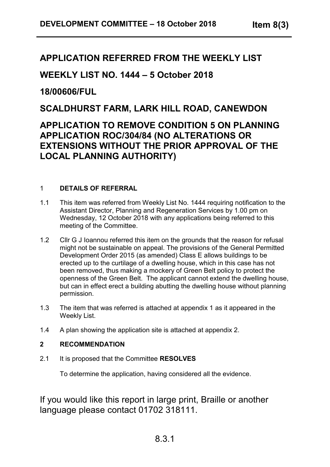# **APPLICATION REFERRED FROM THE WEEKLY LIST**

# **WEEKLY LIST NO. 1444 – 5 October 2018**

## **18/00606/FUL**

## **SCALDHURST FARM, LARK HILL ROAD, CANEWDON**

# **APPLICATION TO REMOVE CONDITION 5 ON PLANNING APPLICATION ROC/304/84 (NO ALTERATIONS OR EXTENSIONS WITHOUT THE PRIOR APPROVAL OF THE LOCAL PLANNING AUTHORITY)**

## 1 **DETAILS OF REFERRAL**

- 1.1 This item was referred from Weekly List No. 1444 requiring notification to the Assistant Director, Planning and Regeneration Services by 1.00 pm on Wednesday, 12 October 2018 with any applications being referred to this meeting of the Committee.
- 1.2 Cllr G J Ioannou referred this item on the grounds that the reason for refusal might not be sustainable on appeal. The provisions of the General Permitted Development Order 2015 (as amended) Class E allows buildings to be erected up to the curtilage of a dwelling house, which in this case has not been removed, thus making a mockery of Green Belt policy to protect the openness of the Green Belt. The applicant cannot extend the dwelling house, but can in effect erect a building abutting the dwelling house without planning permission.
- 1.3 The item that was referred is attached at appendix 1 as it appeared in the Weekly List.
- 1.4 A plan showing the application site is attached at appendix 2.

## **2 RECOMMENDATION**

2.1 It is proposed that the Committee **RESOLVES**

To determine the application, having considered all the evidence.

If you would like this report in large print, Braille or another language please contact 01702 318111.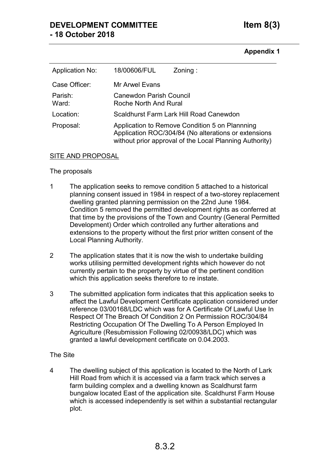## **DEVELOPMENT COMMITTEE Item 8(3) - 18 October 2018**

#### **Appendix 1**

| <b>Application No:</b> | 18/00606/FUL                                                                                                                                                      | $\mathsf{Zoning}$ : |
|------------------------|-------------------------------------------------------------------------------------------------------------------------------------------------------------------|---------------------|
| Case Officer:          | Mr Arwel Evans                                                                                                                                                    |                     |
| Parish:<br>Ward:       | <b>Canewdon Parish Council</b><br><b>Roche North And Rural</b>                                                                                                    |                     |
| Location:              | Scaldhurst Farm Lark Hill Road Canewdon                                                                                                                           |                     |
| Proposal:              | Application to Remove Condition 5 on Plannning<br>Application ROC/304/84 (No alterations or extensions<br>without prior approval of the Local Planning Authority) |                     |

#### SITE AND PROPOSAL

#### The proposals

- 1 The application seeks to remove condition 5 attached to a historical planning consent issued in 1984 in respect of a two-storey replacement dwelling granted planning permission on the 22nd June 1984. Condition 5 removed the permitted development rights as conferred at that time by the provisions of the Town and Country (General Permitted Development) Order which controlled any further alterations and extensions to the property without the first prior written consent of the Local Planning Authority.
- 2 The application states that it is now the wish to undertake building works utilising permitted development rights which however do not currently pertain to the property by virtue of the pertinent condition which this application seeks therefore to re instate.
- 3 The submitted application form indicates that this application seeks to affect the Lawful Development Certificate application considered under reference 03/00168/LDC which was for A Certificate Of Lawful Use In Respect Of The Breach Of Condition 2 On Permission ROC/304/84 Restricting Occupation Of The Dwelling To A Person Employed In Agriculture (Resubmission Following 02/00938/LDC) which was granted a lawful development certificate on 0.04.2003.

#### The Site

4 The dwelling subject of this application is located to the North of Lark Hill Road from which it is accessed via a farm track which serves a farm building complex and a dwelling known as Scaldhurst farm bungalow located East of the application site. Scaldhurst Farm House which is accessed independently is set within a substantial rectangular plot.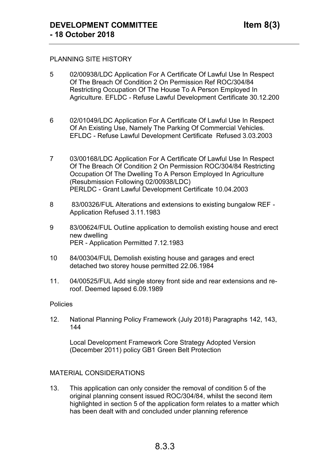#### PLANNING SITE HISTORY

- 5 02/00938/LDC Application For A Certificate Of Lawful Use In Respect Of The Breach Of Condition 2 On Permission Ref ROC/304/84 Restricting Occupation Of The House To A Person Employed In Agriculture. EFLDC - Refuse Lawful Development Certificate 30.12.200
- 6 02/01049/LDC Application For A Certificate Of Lawful Use In Respect Of An Existing Use, Namely The Parking Of Commercial Vehicles. EFLDC - Refuse Lawful Development Certificate Refused 3.03.2003
- 7 03/00168/LDC Application For A Certificate Of Lawful Use In Respect Of The Breach Of Condition 2 On Permission ROC/304/84 Restricting Occupation Of The Dwelling To A Person Employed In Agriculture (Resubmission Following 02/00938/LDC) PERLDC - Grant Lawful Development Certificate 10.04.2003
- 8 83/00326/FUL Alterations and extensions to existing bungalow REF Application Refused 3.11.1983
- 9 83/00624/FUL Outline application to demolish existing house and erect new dwelling PER - Application Permitted 7.12.1983
- 10 84/00304/FUL Demolish existing house and garages and erect detached two storey house permitted 22.06.1984
- 11. 04/00525/FUL Add single storey front side and rear extensions and reroof. Deemed lapsed 6.09.1989

#### Policies

12. National Planning Policy Framework (July 2018) Paragraphs 142, 143, 144

Local Development Framework Core Strategy Adopted Version (December 2011) policy GB1 Green Belt Protection

#### MATERIAL CONSIDERATIONS

13. This application can only consider the removal of condition 5 of the original planning consent issued ROC/304/84, whilst the second item highlighted in section 5 of the application form relates to a matter which has been dealt with and concluded under planning reference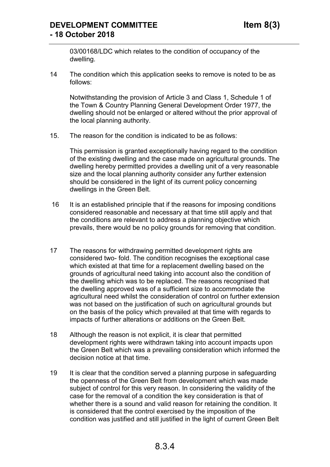## **DEVELOPMENT COMMITTEE Item 8(3) - 18 October 2018**

03/00168/LDC which relates to the condition of occupancy of the dwelling.

14 The condition which this application seeks to remove is noted to be as follows:

Notwithstanding the provision of Article 3 and Class 1, Schedule 1 of the Town & Country Planning General Development Order 1977, the dwelling should not be enlarged or altered without the prior approval of the local planning authority.

15. The reason for the condition is indicated to be as follows:

This permission is granted exceptionally having regard to the condition of the existing dwelling and the case made on agricultural grounds. The dwelling hereby permitted provides a dwelling unit of a very reasonable size and the local planning authority consider any further extension should be considered in the light of its current policy concerning dwellings in the Green Belt.

- 16 It is an established principle that if the reasons for imposing conditions considered reasonable and necessary at that time still apply and that the conditions are relevant to address a planning objective which prevails, there would be no policy grounds for removing that condition.
- 17 The reasons for withdrawing permitted development rights are considered two- fold. The condition recognises the exceptional case which existed at that time for a replacement dwelling based on the grounds of agricultural need taking into account also the condition of the dwelling which was to be replaced. The reasons recognised that the dwelling approved was of a sufficient size to accommodate the agricultural need whilst the consideration of control on further extension was not based on the justification of such on agricultural grounds but on the basis of the policy which prevailed at that time with regards to impacts of further alterations or additions on the Green Belt.
- 18 Although the reason is not explicit, it is clear that permitted development rights were withdrawn taking into account impacts upon the Green Belt which was a prevailing consideration which informed the decision notice at that time.
- 19 It is clear that the condition served a planning purpose in safeguarding the openness of the Green Belt from development which was made subject of control for this very reason. In considering the validity of the case for the removal of a condition the key consideration is that of whether there is a sound and valid reason for retaining the condition. It is considered that the control exercised by the imposition of the condition was justified and still justified in the light of current Green Belt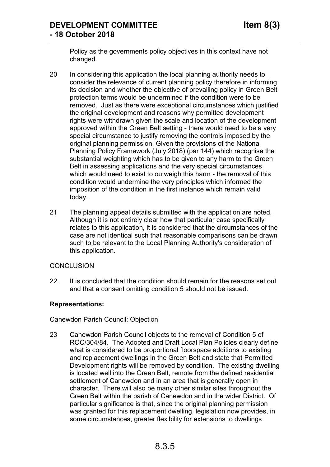Policy as the governments policy objectives in this context have not changed.

- 20 In considering this application the local planning authority needs to consider the relevance of current planning policy therefore in informing its decision and whether the objective of prevailing policy in Green Belt protection terms would be undermined if the condition were to be removed. Just as there were exceptional circumstances which justified the original development and reasons why permitted development rights were withdrawn given the scale and location of the development approved within the Green Belt setting - there would need to be a very special circumstance to justify removing the controls imposed by the original planning permission. Given the provisions of the National Planning Policy Framework (July 2018) (par 144) which recognise the substantial weighting which has to be given to any harm to the Green Belt in assessing applications and the very special circumstances which would need to exist to outweigh this harm - the removal of this condition would undermine the very principles which informed the imposition of the condition in the first instance which remain valid today.
- 21 The planning appeal details submitted with the application are noted. Although it is not entirely clear how that particular case specifically relates to this application, it is considered that the circumstances of the case are not identical such that reasonable comparisons can be drawn such to be relevant to the Local Planning Authority's consideration of this application.

### **CONCLUSION**

22. It is concluded that the condition should remain for the reasons set out and that a consent omitting condition 5 should not be issued.

#### **Representations:**

Canewdon Parish Council: Objection

23 Canewdon Parish Council objects to the removal of Condition 5 of ROC/304/84. The Adopted and Draft Local Plan Policies clearly define what is considered to be proportional floorspace additions to existing and replacement dwellings in the Green Belt and state that Permitted Development rights will be removed by condition. The existing dwelling is located well into the Green Belt, remote from the defined residential settlement of Canewdon and in an area that is generally open in character. There will also be many other similar sites throughout the Green Belt within the parish of Canewdon and in the wider District. Of particular significance is that, since the original planning permission was granted for this replacement dwelling, legislation now provides, in some circumstances, greater flexibility for extensions to dwellings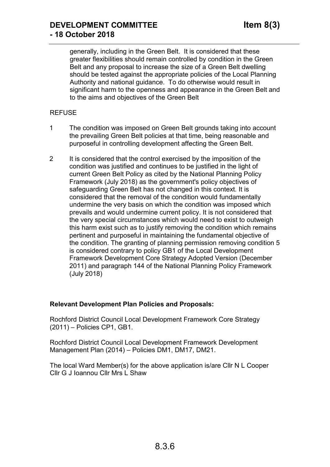generally, including in the Green Belt. It is considered that these greater flexibilities should remain controlled by condition in the Green Belt and any proposal to increase the size of a Green Belt dwelling should be tested against the appropriate policies of the Local Planning Authority and national guidance. To do otherwise would result in significant harm to the openness and appearance in the Green Belt and to the aims and objectives of the Green Belt

## REFUSE

- 1 The condition was imposed on Green Belt grounds taking into account the prevailing Green Belt policies at that time, being reasonable and purposeful in controlling development affecting the Green Belt.
- 2 It is considered that the control exercised by the imposition of the condition was justified and continues to be justified in the light of current Green Belt Policy as cited by the National Planning Policy Framework (July 2018) as the government's policy objectives of safeguarding Green Belt has not changed in this context. It is considered that the removal of the condition would fundamentally undermine the very basis on which the condition was imposed which prevails and would undermine current policy. It is not considered that the very special circumstances which would need to exist to outweigh this harm exist such as to justify removing the condition which remains pertinent and purposeful in maintaining the fundamental objective of the condition. The granting of planning permission removing condition 5 is considered contrary to policy GB1 of the Local Development Framework Development Core Strategy Adopted Version (December 2011) and paragraph 144 of the National Planning Policy Framework (July 2018)

### **Relevant Development Plan Policies and Proposals:**

Rochford District Council Local Development Framework Core Strategy (2011) – Policies CP1, GB1.

Rochford District Council Local Development Framework Development Management Plan (2014) – Policies DM1, DM17, DM21.

The local Ward Member(s) for the above application is/are Cllr N L Cooper Cllr G J Ioannou Cllr Mrs L Shaw